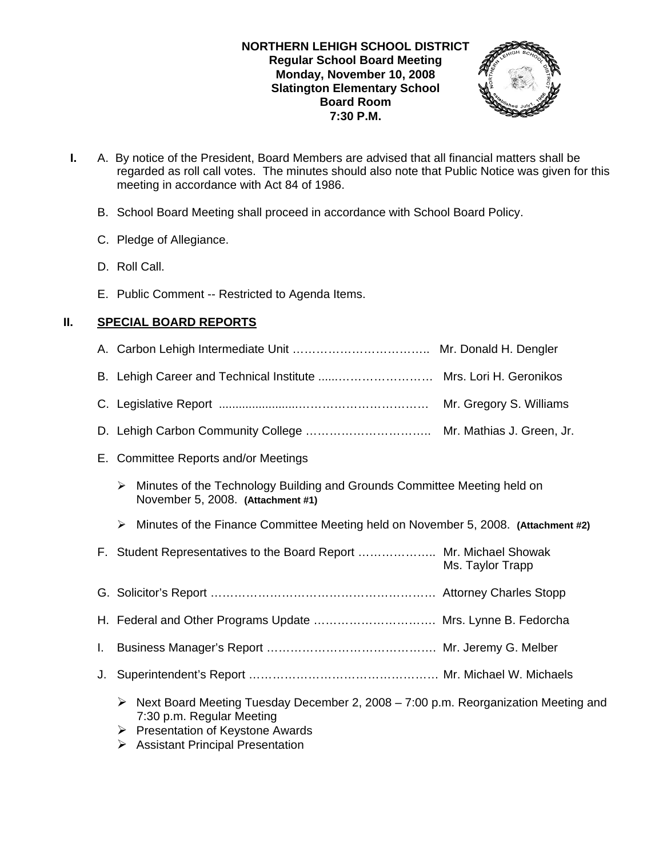### **NORTHERN LEHIGH SCHOOL DISTRICT Regular School Board Meeting Monday, November 10, 2008 Slatington Elementary School Board Room 7:30 P.M.**



- **I.** A. By notice of the President, Board Members are advised that all financial matters shall be regarded as roll call votes. The minutes should also note that Public Notice was given for this meeting in accordance with Act 84 of 1986.
	- B. School Board Meeting shall proceed in accordance with School Board Policy.
	- C. Pledge of Allegiance.
	- D. Roll Call.
	- E. Public Comment -- Restricted to Agenda Items.

## **II. SPECIAL BOARD REPORTS**

|    | B. Lehigh Career and Technical Institute  Mrs. Lori H. Geronikos                                                                                             |                  |
|----|--------------------------------------------------------------------------------------------------------------------------------------------------------------|------------------|
|    |                                                                                                                                                              |                  |
|    |                                                                                                                                                              |                  |
|    | E. Committee Reports and/or Meetings                                                                                                                         |                  |
|    | Minutes of the Technology Building and Grounds Committee Meeting held on<br>≻<br>November 5, 2008. (Attachment #1)                                           |                  |
|    | Minutes of the Finance Committee Meeting held on November 5, 2008. (Attachment #2)<br>➤                                                                      |                  |
|    | F. Student Representatives to the Board Report  Mr. Michael Showak                                                                                           | Ms. Taylor Trapp |
|    |                                                                                                                                                              |                  |
|    | H. Federal and Other Programs Update  Mrs. Lynne B. Fedorcha                                                                                                 |                  |
| L. |                                                                                                                                                              |                  |
| J. |                                                                                                                                                              |                  |
|    | Next Board Meeting Tuesday December 2, 2008 - 7:00 p.m. Reorganization Meeting and<br>➤<br>7:30 p.m. Regular Meeting<br>Presentation of Keystone Awards<br>➤ |                  |

 $\triangleright$  Assistant Principal Presentation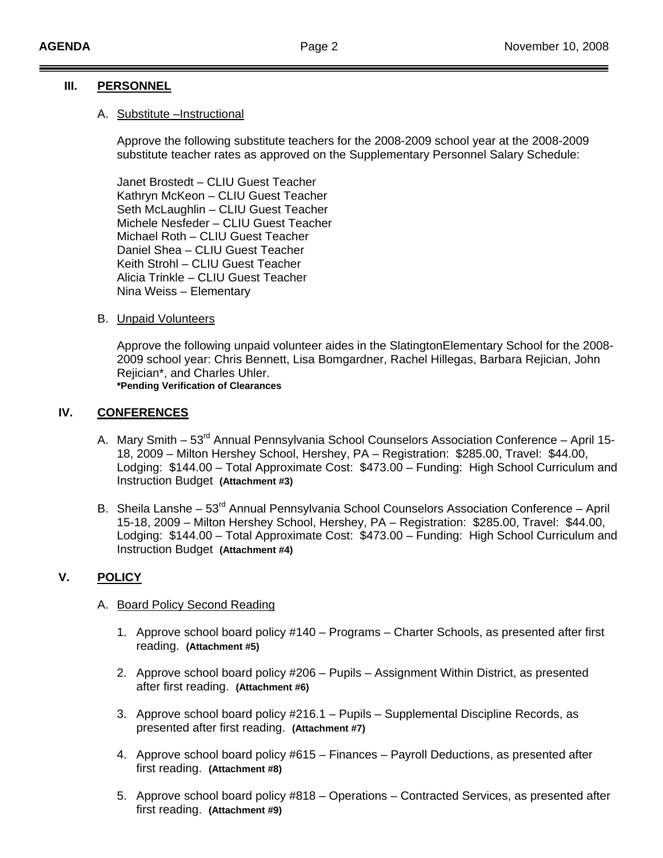### **III. PERSONNEL**

#### A. Substitute –Instructional

Approve the following substitute teachers for the 2008-2009 school year at the 2008-2009 substitute teacher rates as approved on the Supplementary Personnel Salary Schedule:

Janet Brostedt – CLIU Guest Teacher Kathryn McKeon – CLIU Guest Teacher Seth McLaughlin – CLIU Guest Teacher Michele Nesfeder – CLIU Guest Teacher Michael Roth – CLIU Guest Teacher Daniel Shea – CLIU Guest Teacher Keith Strohl – CLIU Guest Teacher Alicia Trinkle – CLIU Guest Teacher Nina Weiss – Elementary

### B. Unpaid Volunteers

Approve the following unpaid volunteer aides in the SlatingtonElementary School for the 2008- 2009 school year: Chris Bennett, Lisa Bomgardner, Rachel Hillegas, Barbara Rejician, John Rejician\*, and Charles Uhler. **\*Pending Verification of Clearances**

### **IV. CONFERENCES**

- A. Mary Smith 53<sup>rd</sup> Annual Pennsylvania School Counselors Association Conference April 15-18, 2009 – Milton Hershey School, Hershey, PA – Registration: \$285.00, Travel: \$44.00, Lodging: \$144.00 – Total Approximate Cost: \$473.00 – Funding: High School Curriculum and Instruction Budget **(Attachment #3)**
- B. Sheila Lanshe 53<sup>rd</sup> Annual Pennsylvania School Counselors Association Conference April 15-18, 2009 – Milton Hershey School, Hershey, PA – Registration: \$285.00, Travel: \$44.00, Lodging: \$144.00 – Total Approximate Cost: \$473.00 – Funding: High School Curriculum and Instruction Budget **(Attachment #4)**

### **V. POLICY**

#### A. Board Policy Second Reading

- 1. Approve school board policy #140 Programs Charter Schools, as presented after first reading. **(Attachment #5)**
- 2. Approve school board policy #206 Pupils Assignment Within District, as presented after first reading. **(Attachment #6)**
- 3. Approve school board policy #216.1 Pupils Supplemental Discipline Records, as presented after first reading. **(Attachment #7)**
- 4. Approve school board policy #615 Finances Payroll Deductions, as presented after first reading. **(Attachment #8)**
- 5. Approve school board policy #818 Operations Contracted Services, as presented after first reading. **(Attachment #9)**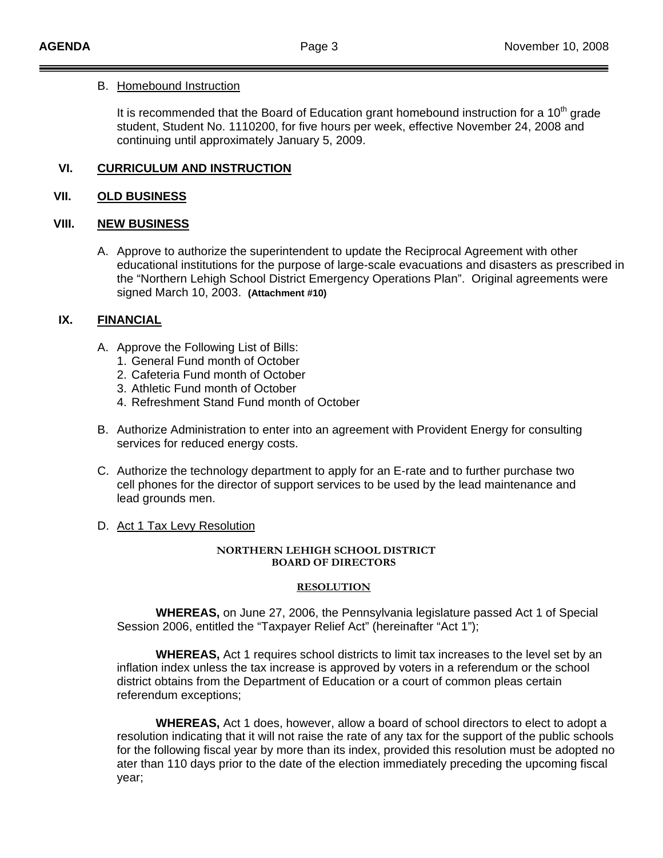#### B. Homebound Instruction

It is recommended that the Board of Education grant homebound instruction for a  $10<sup>th</sup>$  grade student, Student No. 1110200, for five hours per week, effective November 24, 2008 and continuing until approximately January 5, 2009.

### **VI. CURRICULUM AND INSTRUCTION**

### **VII. OLD BUSINESS**

### **VIII. NEW BUSINESS**

A. Approve to authorize the superintendent to update the Reciprocal Agreement with other educational institutions for the purpose of large-scale evacuations and disasters as prescribed in the "Northern Lehigh School District Emergency Operations Plan". Original agreements were signed March 10, 2003. **(Attachment #10)**

### **IX. FINANCIAL**

- A. Approve the Following List of Bills:
	- 1. General Fund month of October
	- 2. Cafeteria Fund month of October
	- 3. Athletic Fund month of October
	- 4. Refreshment Stand Fund month of October
- B. Authorize Administration to enter into an agreement with Provident Energy for consulting services for reduced energy costs.
- C. Authorize the technology department to apply for an E-rate and to further purchase two cell phones for the director of support services to be used by the lead maintenance and lead grounds men.

#### D. Act 1 Tax Levy Resolution

#### **NORTHERN LEHIGH SCHOOL DISTRICT BOARD OF DIRECTORS**

#### **RESOLUTION**

 **WHEREAS,** on June 27, 2006, the Pennsylvania legislature passed Act 1 of Special Session 2006, entitled the "Taxpayer Relief Act" (hereinafter "Act 1");

 **WHEREAS,** Act 1 requires school districts to limit tax increases to the level set by an inflation index unless the tax increase is approved by voters in a referendum or the school district obtains from the Department of Education or a court of common pleas certain referendum exceptions;

 **WHEREAS,** Act 1 does, however, allow a board of school directors to elect to adopt a resolution indicating that it will not raise the rate of any tax for the support of the public schools for the following fiscal year by more than its index, provided this resolution must be adopted no ater than 110 days prior to the date of the election immediately preceding the upcoming fiscal year;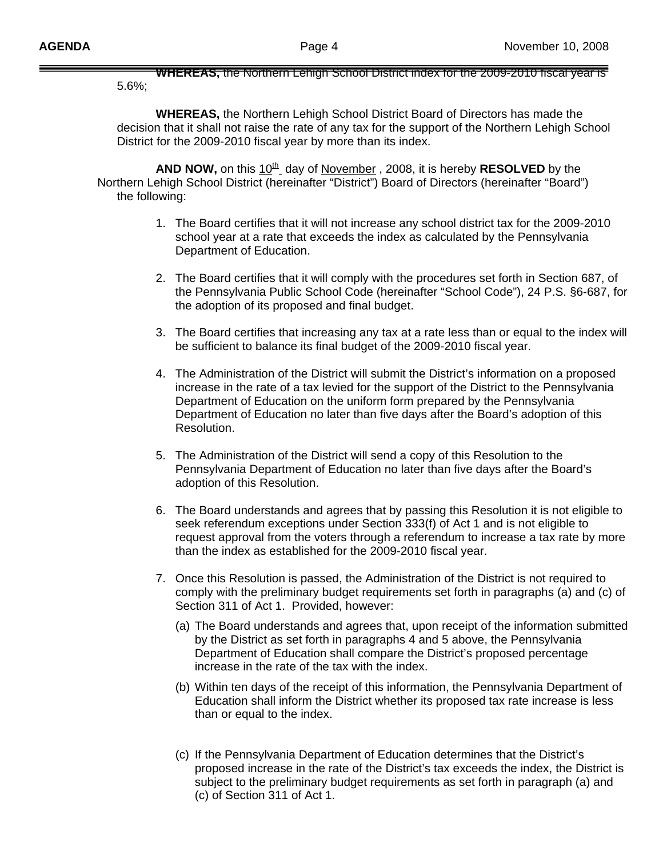**WHEREAS,** the Northern Lehigh School District index for the 2009-2010 fiscal year is 5.6%;

 **WHEREAS,** the Northern Lehigh School District Board of Directors has made the decision that it shall not raise the rate of any tax for the support of the Northern Lehigh School District for the 2009-2010 fiscal year by more than its index.

AND NOW, on this  $10^{th}$  day of November, 2008, it is hereby **RESOLVED** by the Northern Lehigh School District (hereinafter "District") Board of Directors (hereinafter "Board") the following:

- 1. The Board certifies that it will not increase any school district tax for the 2009-2010 school year at a rate that exceeds the index as calculated by the Pennsylvania Department of Education.
- 2. The Board certifies that it will comply with the procedures set forth in Section 687, of the Pennsylvania Public School Code (hereinafter "School Code"), 24 P.S. §6-687, for the adoption of its proposed and final budget.
- 3. The Board certifies that increasing any tax at a rate less than or equal to the index will be sufficient to balance its final budget of the 2009-2010 fiscal year.
- 4. The Administration of the District will submit the District's information on a proposed increase in the rate of a tax levied for the support of the District to the Pennsylvania Department of Education on the uniform form prepared by the Pennsylvania Department of Education no later than five days after the Board's adoption of this Resolution.
- 5. The Administration of the District will send a copy of this Resolution to the Pennsylvania Department of Education no later than five days after the Board's adoption of this Resolution.
- 6. The Board understands and agrees that by passing this Resolution it is not eligible to seek referendum exceptions under Section 333(f) of Act 1 and is not eligible to request approval from the voters through a referendum to increase a tax rate by more than the index as established for the 2009-2010 fiscal year.
- 7. Once this Resolution is passed, the Administration of the District is not required to comply with the preliminary budget requirements set forth in paragraphs (a) and (c) of Section 311 of Act 1. Provided, however:
	- (a) The Board understands and agrees that, upon receipt of the information submitted by the District as set forth in paragraphs 4 and 5 above, the Pennsylvania Department of Education shall compare the District's proposed percentage increase in the rate of the tax with the index.
	- (b) Within ten days of the receipt of this information, the Pennsylvania Department of Education shall inform the District whether its proposed tax rate increase is less than or equal to the index.
	- (c) If the Pennsylvania Department of Education determines that the District's proposed increase in the rate of the District's tax exceeds the index, the District is subject to the preliminary budget requirements as set forth in paragraph (a) and (c) of Section 311 of Act 1.